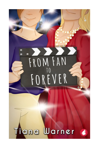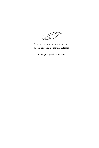

Sign up for our newsletter to hear about new and upcoming releases.

www.ylva-publishing.com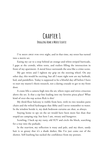### **Chapter 1 Dragging Home a Moose Floatie**

I've been away for one night, and in that time, my street has turned into a movie set.

Easing my car to a stop behind an orange-and-white-striped barricade, I gape at the crowds, white tents, and trailers filling the intersection in front of my apartment. A metal fence surrounds the area like a crime scene.

My gut twists and I tighten my grip on the steering wheel. On any other day, this would be exciting, but all I want right now are my bathtub, bed, and painkillers. Today is supposed to be a blissful day off before I have to start my master's thesis research, not a daring crusade to get to my front door.

A crane lifts a camera high into the air, where ropes and wires crisscross above the set. Is that a zip-line leading into my favorite pizza place? What kind of over-the-top action flick is this?

My third-floor balcony is visible from here, with its two wooden patio chairs and the wilted hydrangeas that Abby and I never remember to water. In the window beside it, my dark bedroom curtains are shut, as always.

Staying home to spy on the set would have been more fun than that stupid-ass camping trip, but here I am, sweaty and hungover.

Scowling, I back up my rusty, old SUV and circle the block, searching for a way into the parkade.

In the rearview, my reflection is waxy and pale, and my short, sandy hair is so greasy that it's a shade darker, like I've just come out of the shower. Self-loathing has sucked the confidence from my posture.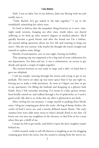Yeah, I was an idiot, but in my defense, Julia was flirting with me and totally into it.

"'Ooh, Rachel, let's get naked in the lake together,'" I say to the windshield, mimicking her sultry tone.

It's hard to believe that the unspoken thing between us is over—latenight study sessions, hanging out after class, inside jokes, our shared suffering as we both go after master's degrees in medical physics. She'd quickly become a good friend, and after she found out I'm a lesbian, she started asking questions about my love life and wanting to hang out more—like she was curious. Like maybe she thought she wasn't straight and wanted to explore some things.

Months of anticipation, over in one night, leaving me hollow.

This camping trip was supposed to be a big end-of-term celebration for our department. For Julia and me, it was a culmination, an excuse to get drunk and spend a couple of nights together.

The tension between us was ready to snap, and it did—so hard that it gave me whiplash.

I rub my temple, weaving through the streets and trying to get to my parkade. The movie set takes up way more space than it has any right to, forcing me to make a wide perimeter. As soon as I figure out how to get to my apartment, I'm filling the bathtub and dropping in a glittery bath bomb. Since I left yesterday morning, I've swum in a lake, gotten sweaty, been briefly rained on, and walked through a lot of spiderwebs, so I need a good scrub. My skin is so sticky that my shirt is plastered to my back.

After circling for ten minutes, I resign myself to parking three blocks away. I drag my camping gear down the road—the bag of damp clothes, the cooler of food I never ate, and a mostly deflated moose floatie. The early summer heat wave adds more sweat to what's already dried to my skin. I'd better not run into any neighbors in the elevator, or they'll be in for a treat when they get a whiff of me.

I swipe my fob to get inside, and before I open the door, laughter erupts behind me.

I whirl around, ready to tell off whoever is laughing at me for dragging camping gear down the street, but the sound is coming from the movie set.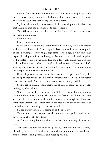A metal fence separates me from the set—they have to keep us peasants out, obviously—and white tents block most of my view beyond it. Between two tents is a gap that tunnels my vision to a point.

My heart does a wild, out-of-control flip, knocking me off balance so that I have to grab the door handle to stay standing.

Cate Whitney is on the other side of the fence, talking to a tattooed guy with a boom mic.

*Cate. Whitney.*

I forget how to breathe.

In her early forties and well-established on the A-list, she carries herself with easy confidence. She's rocking a badass black and brown steampunk outfit, including a corset, thigh-high fishnet stockings, a frilly skirt that exposes her thighs in front and hangs calf-length in the back, and a top hat with goggles resting on the brim. Her shoulder-length blond hair is in soft curls, and her white skin has a warm glow, like she's been in the tropics. She's wearing her signature mischievous smirk, her makeup drawing attention to her sharp cheekbones and ice-blue eyes.

How is it possible for anyone to be so attractive? I guess that's why she ended up in Hollywood. She's the type of woman who can rock a tux better than any man and a Valentino dress better than a runway model.

Seeing her in person sparks memories of pivotal moments in my life, making my chest flutter.

When I saw her kiss a woman in a 2000s historical drama, that was the moment I knew. Though the movie was fiction and the actors were straight, their love felt so real, sending butterflies through me. I wanted what those women had—their passion for each other, the connection that reached beyond friendship, the purity of their love.

I asked out my crush after seeing it, and she said yes.

On our fourth date, we watched that same movie together, and I made out with a girl for the first time.

So I'm not being dramatic when I say that Cate Whitney changed my life.

Now, standing with the poise of a goddess, that woman is ten feet away. She's deep in conversation with the guy with the boom mic, but that doesn't stop her from looking past him and meeting my eye.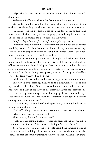*Why?* Why does she have to see me when I look like I climbed out of a dumpster?

Reflexively, I offer an awkward half-smile, which she returns.

My insides flip. This is either the greatest thing ever to happen to me or the worst, depending on whether she can smell me from this distance.

Regaining feeling in my legs, I whip open the door of my building and hurtle myself inside, then grab my camping gear and drag it in after me. The moose floatie smacks the door frame on the way in.

*Cate freaking Whitney is feet away from me, filming a movie.*

I hyperventilate my way up to my apartment and unlock the door with trembling hands. The familiar smell of home hits my nose—sweet-orange essential oil diffusing on the kitchen island, woven with layers of shampoo, burnt toast, and cheap coffee. Abby must be up.

I dump my camping gear and rush through the kitchen and living room toward the balcony. The apartment is as I left it, cluttered and full of low-maintenance plants. My laptop, heap of textbooks, and blanket nest are untouched on my side of the couch. Trinkets from travels, books, and pictures of friends and family take up every surface. It's disorganized—Abby prefers the term *eclectic*—but it's home.

I slide open the patio door and burst through to spy on the movie set.

The view is awe-inspiring. They've built a clockwork storefront over my favorite coffee shop. White tents and trailers, the back of wooden structures, and a lot of expensive film equipment clutter the intersection.

From the depths of the apartment, footsteps pad closer, and Abby says, "You smell like worn-off deodorant and sunscreen. I thought you weren't coming home until tomorrow."

"Cate Whitney is down there," I whisper-shout, scanning the dozens of people milling about the set.

"Fuck off!" Abby screams, rushing beside me to peer over the balcony.

I clap a hand over her mouth. "Shh!"

Abby pries my hand off. "You *saw* her?"

"Right as I was coming inside." I wrack my brain for the last headline I saw about Cate Whitney. "She must be filming *Clockwork Curie*."

*There she is.* She's with a group of people behind the cameras, pointing at a monitor and nodding. She's easy to spot because of the outfit but also because of that abnormally attractive Hollywood look. What is *with* that?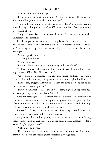"Clockwork what?" Abby says.

"It's a steampunk movie about Marie Curie," I whisper. "The scientist. We were talking about it in class not long ago."

As if a high-budget movie about science hero Marie Curie isn't awesome enough, they had to go and cast Cate Whitney as the lead. Excuse me while I cry feminist tears.

"Abby, she was, like, ten feet away from me," I say, making sure she understands the situation.

I peel my gaze away from the set. Abby is wearing a smart navy blazer and no pants. Her thick, dark hair is styled to emphasize its natural waves, she's wearing makeup, and her oversized glasses are unusually free of smudges.

"What's up with you?" I ask.

"Virtual job interview."

"What company?"

"Enough about me. Are you going to try and meet Cate?"

My heart jumps at the question like I've just been dive-bombed by an angry crow. "What? No. She's working."

"Girl, you've been obsessed with her since before you knew you were a lesbian. Remember the magazine pictures taped to your high school locker?"

"Shh!" I say, dragging Abby inside. I slam the patio door and round on her. "I can't just walk up to her!"

"Sure you can. Rachel, this is the universe bringing you an opportunity," she says, picking lint off her blazer. "Seize it."

I rub my tired eyes. Cate Whitney really is a queer icon. Between her film roles, her wardrobe, and being an outspoken ally, I'm positive that if someone were to poll all of the lesbians and ask them to rank their top celebrity crushes, she would win the popular vote.

I guess I could try to say hi to my hero. The prospect sends a nervous thrill through my chest. "What would I even say?"

Abby opens the bamboo privacy screen we use as a backdrop during video calls, which conveniently masks the surrounding disaster. "I don't know. *Big fan of your work*?"

"Ugh, that's so normal."

"If you want her to remember you for something abnormal, fine, but I think you're better off sticking with something average here."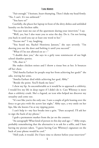"Fair enough." I hesitate, heart thumping. Then I shake my head firmly. "No, I can't. It's too awkward."

"You have to!"

Carefully, she places her laptop in front of the dirty dishes and unfolded laundry on the kitchen table.

"You just want me out of the apartment during your interview," I say.

"Well, yes, but I also want you to seize the day. Do it. I'm not letting you back in until you say at least one word to her."

"Excuse me?" I say, laughing.

"You heard me, Rachel Henrietta Janssen," she says severely. "I'm shoving you out the door and bolting it until you succeed."

"What if I'm not allowed on se—"

"I double dare you," she says in a girly tone reminiscent of our high school slumber parties.

"Oh, shut it."

She makes chicken noises and I throw a tissue box at her. It bounces off her chest.

"Did Amelia Earhart let people stop her from achieving her goals?" she asks, waving her arms.

"Amelia Earhart died while achieving her goal, Abby."

"Beside the point. You'll thank me later."

I chew my lip. As uncomfortable as it would be to approach a celebrity, I would live my life in deep regret if I didn't do it. Cate Whitney is more than a celebrity crush. She's a legend, an icon who helped me discover my sexuality and come out.

"It's not like you're the only one. I saw a couple of girls leaning over the fence to get pics with the actors last night," Abby says, a wry smile on her lips, like she knows I'm at my tipping point.

I can't help it—my face breaks into a grin. "Dare accepted. I'll ask her to sign the back of my phone."

I grab a permanent marker from the jar on the counter.

"An autograph? What kind of person in this day and age—" Abby stops, probably remembering that the alternative is to ask for a selfie, and I hate having my picture taken. "I guess having Cate Whitney's signature on the back of your phone would be cool."

"Hell yeah, it would. Do I have time to shower before your interview?"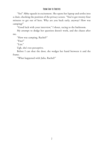"Yes!" Abby squeals in excitement. She opens her laptop and settles into a chair, checking the position of the privacy screen. "You've got twenty-four minutes to get out of here. Why are you back early, anyway? How was camping?"

"Good luck with your interview," I shout, racing to the bathroom.

My attempt to dodge her question doesn't work, and she chases after me.

"How was camping, Rachel?"

"Fine!"

"Liar."

Ugh, she's too perceptive.

Before I can shut the door, she wedges her hand between it and the frame.

"What happened with Julia, Rachel?"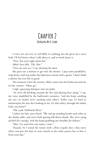## **Chapter 2 Bringing My A-Game**

I open my mouth to tell Abby it's nothing, but she gives me a stern look. I'll feel better when I talk about it, and we both know it.

"Fine. You were right about her."

Abby's face falls. "Oh. Shit."

"Give me one sec," I say, shutting the door.

She gives me a minute to get into the shower. I pop some painkillers, strip down, and step under the lukewarm stream with a groan. I don't think a shower has ever felt so good.

The moment I shut the curtain, Abby comes into the bathroom and sits on the counter. "Okay, go."

I sigh, squeezing shampoo into my palm.

"So we're all drinking around the fire and playing beer pong," I say, my voice amplified by the bathroom's acoustics, "and she keeps catching my eye—or maybe we're catching each other's. Either way, it's hard to misinterpret the way she's looking at me. It's that sultry, through-the-lashes look, you know?"

"Oh, yeah. Definitely flirty."

I lather my hair, eyes closed. "We end up standing beside each other at the drinks table, and we're both getting fall-down drunk, like we're using alcohol for courage. And she keeps grabbing my shoulder *for balance.*"

"Mm. I've used that ruse many a time."

"Exactly. So I tested the waters with a flirty tequila shot—that move where you put the lime in your mouth so the other person has to bite it from your lips."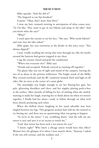Abby squeaks. "And she did it?"

"She lingered as our lips brushed."

A pause. "Okay, that's more than flirty."

I rinse my hair, stomach twisting in anticipation of what comes next. "So I'm like, 'Hey, want to get in our bikinis and jump in the lake?' And you know what she says?"

"What?"

I crack open the curtain to see her face. "She says, 'Who needs bikinis?' and runs into the lake naked."

Abby gasps, her eyes enormous as she drinks in this juicy story. "You skinny-dipped?"

I nod, vividly recalling the swoop that went through me, like the moths around the lanterns had gotten trapped in my chest.

I tug the curtain closed and grab the conditioner.

"Where was everyone else?" Abby says.

"Drunk and occupied. Nobody noticed us running off together."

The glassy lake was out of sight and sound of the campers, leaving the two of us alone in the pristine wilderness. The bright streak of the Milky Way crossed overhead, and the BC rainforest loomed thick and high on all sides, like we were at the center of a snow globe.

The moonlight was bright enough to see her blazing-hot gaze, her pale, glistening shoulders and chest, and her nipples playing peek-a-boo at the surface. After months of falling for her, of smiling when she smiled, wanting to make her laugh, wanting her to think about me when we weren't together, I finally had her alone—ready to follow through on what we'd been silently promising each other.

When she drifted closer, laughing in her usual adorable way, heat tingled between my legs. This gorgeous woman had told me she wanted to try kissing me, and there was no questioning what was going to happen.

"So we're in the water," I say, scrubbing down, "and she tells me my tattoo is sexy and uses it as an excuse to touch me."

"God, that tattoo has been such a sex-starter for you."

"I know, right?" Who knew a ribcage tattoo would have that effect? Women love the glimpse of it when I wear muscle shirts. "Anyway, I asked if she was still curious, and she nodded, and…"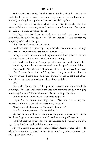And beneath the water, her skin was achingly soft and warm in the cool lake. I ran my palms over her curves, up to her breasts, and her breath hitched, smelling like tequila and lime as it tickled my face.

Our lips met. Her hands brushed over my breasts, gently, and then with confidence as our tongues explored each other's mouths. Heat spread through me, a tingling rushing lower.

Her fingers traveled down my neck, over my back, and down to my hips, where she pulled me against her. She moaned as I teased her with my tongue, playing with her lips.

Then her hand moved lower, lower…

"And stuff started happening." I turn off the water and reach through the curtain. Abby passes me my towel. "And then…"

I wrap the towel around me and step out of the shower, solemn. Abby's covering her mouth, like she's afraid of what's coming.

"Her boyfriend found us," I say, my self-loathing at an all-time high. Found us, shouted at us, drove a crack into that perfect snow globe.

"Boyfriend?" Abby shrieks. "She didn't tell you that she has a *boyfriend*?"

"Oh, I knew about Andrew," I say, heat rising in my face. "But she barely ever talked about him, and when she did, it was to complain about him. She spent more time with me than him last night."

" $Ah$ ."

"So, yeah, I'm an idiot…" I tug open a drawer and absentmindedly rummage. "But also, she's clearly not into him anymore and just stringing him along! So I don't know which of us is the worse person here."

"You're probably both awful," Abby says helpfully.

I sigh. "So she starts defending herself. 'We were just having fun, Andrew. I told you I wanted to experiment, Andrew.'"

Abby jumps off the counter. "Fuck off. She didn't."

"For fun. An experiment. No real feelings."

My eyes burn, and I turn away under the pretense of reaching for the hairdryer. It gives me the few seconds I need to pull myself together.

"So I left them to fight it out on the shoreline and went for a walk," I say, relieved to hear cool indifference in my voice.

My walk lasted until sunrise and sobriety. Because that's what I do when I'm stressed or confused or too drunk to make good decisions—I find a nice path, and I walk.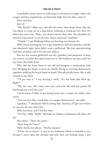It probably wasn't smart to walk alone in the forest at night, where the cougar and bear populations are famously high, but I'm alive, aren't I?

Alive and fine.

Sort of.

"Oh, Rachel," Abby says. She lifts her arms, then drops them, like she was about to wrap me in a hug before realizing it would get her shirt wet before her interview. "Babe, you deserve better than that. You shouldn't be anyone's experiment or *just for fun*. You're someone's soulmate."

"Thanks," I say, blinking before my burning eyes betray me.

Abby's been warning me not to get attached to Julia for months, and she was absolutely right. Julia didn't want a girlfriend. She was experimenting with her sexuality, and I was the test subject.

But my last serious girlfriend was shy, guarded, and desperate to keep me a secret, so Julia's free spirit lured me in. Her boldness was hot, and I let my heart take hold of me.

Why did my brain have to run off and imagine a relationship with her? Bringing her home to meet my family, flying to exciting destinations together, walking the beach hand-in-hand? This physically hurts, like a stab wound in my chest.

"I'll get over it," I say, forcing a smile. "It's her fault that blew up. Right?"

"Oh, for sure. She came onto you, and now she and her pissed-off boyfriend can work that out."

I don't know if Abby is just being loyal, but it makes my smile come easier.

"You can just, like, avoid Julia on campus forevermore," she adds.

I grimace. "I absolutely will be doing that. Anyway, I'll get out of here so you can do your interview."

Abby hesitates, and I feel her stare.

"I'm fine, Abby. Really. Meeting my lesbian awakening will cheer me up."

She smiles. "That's the spirit."

"How long do I have?"

Abby checks her phone. "Twelve minutes."

"I'll be out in eleven." I race to my bedroom, which is basically a cave because I never open the curtains and only have one bedside lamp. I put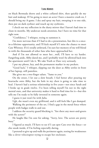on black Bermuda shorts and a white collared shirt, then quickly do my hair and makeup. If I'm going to meet an actor I have a massive crush on, I should bring my A-game. I dry and spray my hair, sweeping it to one side, then put on dark eyeliner and touch up my eyebrows.

I check out my reflection in the dusty mirror that I haven't had time to clean in months. My undercut needs attention, but I have no time for that right now.

"Confidence," I whisper, trying to summon it.

I'm more nervous than if I had to do a presentation, but this is a oncein-a-lifetime opportunity, and I'll kick myself if I miss the chance to meet Cate Whitney. If it's totally awkward, I'm sure her memory of me will blend in with the thousands of other fans who have approached her.

And if I'm not allowed to meet her…well, I'll have to try harder. Fangirling aside, Abby dared me, and I probably won't be allowed back into the apartment until I do it. We take Truth or Dare very seriously.

I put my phone, key, and the permanent marker in my pockets.

"Good luck," I whisper, slipping out the door as Abby settles in front of her laptop, still pantsless.

She gives me a two-finger salute. "Same to you."

On the street, I let out a slow breath. I feel better after pouring my heartache onto Abby, but the hole in my chest is going to take time to heal. I haven't had a serious relationship in five years—not since Sarah and I broke up in grade twelve. I've been telling myself I'm not in the right mental state, and that university makes it hard to find time for it—but this tells me I'm ready to be fully invested in someone again.

I guess it just won't be with Julia.

Ugh, she wasn't even my girlfriend, and it still feels like I got dumped.

Walking the perimeter of the set, I find a gap in the metal fence where people with badges walk in and out.

I address the security guard blocking it. "Are there any meet-and-greets with the actors?"

He laughs like I'm cute for asking. "Sorry, love. The actors are pretty busy."

I figured as much. I'll have to see if I can spot Cate over the fence—or else sneak inside, if I'm feeling especially daring.

I pretend to give up and walk the perimeter again, testing for weaknesses like a clever velociraptor trying to escape her enclosure.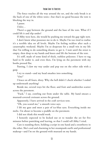The fence reaches all the way around the set, and the only break is at the back of one of the white tents—but that's no good because the tent is blocking the way in.

I pause.

*Unless…*

There's a gap between the ground and the base of the tent. What if I could lift it and slip under?

If Abby were here, she would be pushing me toward the gap right now.

I don't know what possesses me to do it. Maybe I'm too tired to realize it's a terrible idea on all levels. Maybe I'm feeling reckless after such a catastrophic weekend. Maybe I'm so desperate for a small win in my life that I'm willing to do something drastic to get it. I wait until the street is empty, then drop to my hands and knees and lift the bottom of the tent.

It's stiff, made of some kind of thick, ruthless polyester. I have to tug hard to fit under it, and even then, I'm lying on the pavement with my boobs pressed flat.

Panting, I claw my way under and pop out on the other side with a gasp.

I try to stand—and my head smashes into something.

" $\text{Ow!}$ "

I brace on all fours, dizzy. Why the hell didn't I check whether I ended up underneath anything?

Beside me, several trays hit the floor, and fruit and sandwiches scatter across the pavement.

"Fuck," I say, crawling out from under the table. My hand smears a mustard-covered croissant across the ground.

Apparently, I have arrived in the craft services tent.

"Oh, you scared me," a smooth voice says.

I lift my gaze and meet a pair of ice-blue eyes. Everything inside me melts. I'm about to become a puddle on the pavement.

I did not think this would work.

I honestly expected to be kicked out or to wander the set for five minutes before panicking and leaving, so that I could tell Abby I tried.

Cate is standing there, holding a script in one hand and a strawberry in the other. She's cool and charming in her steampunk outfit and professional makeup—and I'm on the ground with mustard on my hands.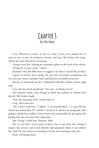## **Chapter 3 Big Dyke Energy**

CATE WHITNEY STARES AT ME in a way I never, ever wanted her to stare at me—a mix of confusion, horror, and pity. She lowers the script, which she must have been reviewing.

I jump to my feet, wiping my mustardy palms on the back of my shorts. "B-big fan of your work," I blurt.

Dammit, why did Abby have to suggest I say that? I sound like an idiot.

I guess it's better than saying, *Hi, you were my lesbian awakening and I've seen your movies multiple times and find you incredibly attractive.*

My face is absolutely on fire. I definitely look like a shiny tomato right now.

Cate tilts her head, perplexed. "Are you…working on set?"

Her smooth, husky voice brings to mind the number of villains she's played. My insides tingle.

Then the meaning of her words sinks in.

Crap. She's onto me.

"No, I don't work here," I admit. "I was wondering if—" I stop, like my throat has sealed shut. If I tell her I snuck in to ask for an autograph, she's going to think I'm a stalker. I don't want to be responsible for giving her the feeling that she isn't safe from rabid fans.

Am I being a rabid fan? *Dammit, Abby.*

No, it's not like I keep track of where she is and what she's doing. I respect her privacy and avoid tabloids and paparazzi shots. I just admire her. And I'm torn between wanting to be her and wanting to kiss her.

Fuck. I'm being weird.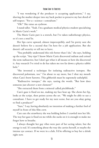"I was wondering if the producer is accepting applications," I say, shoving the marker deeper into my back pocket to preserve my last shred of self-respect. "For a—science—consultant."

"Oh?" She raises an eyebrow.

I stand taller. "Yeah. I'm a graduate medical physics student specializing in Marie Curie's work."

The Marie Curie part is a stretch, but I've taken radiotherapy physics, so it's not a *total* lie.

Her lips curve upward, almost imperceptibly, and I'm pretty sure she doesn't believe for a second that I'm here for a job application. But she doesn't call security or tell me to leave.

"You probably understand this role better than I do," she says, holding up the script. "Any tips? I know Marie Curie discovered radium and coined the term *radioactive*, but I don't get what it all means or how she discovered it. Any research I've tried to do has taken me too far down a physics rabbit hole."

"She invented a technique for isolating radioactive isotopes. She discovered polonium, too." I'm about to say more, but I shut my mouth when Cate's brow furrows. This gibberish must be supremely unhelpful.

"Radioactive isotopes," she says, tasting the words. "But how does someone just *discover* a new element?"

"She extracted them from a mineral called pitchblende."

Cate's gaze is fixed on me, making my face heat up. She chews her lip, looks at the script, then points across the set. "We might be able to use a consultant. I have to get ready for my next scene, but are you okay going to find a producer?"

"Sure," I say, having absolutely no intention of making a further fool of myself in front of this film crew.

Cate eats the strawberry she was holding before I crawled into her life. The way her gaze is fixed on me while she sucks on it is enough to make me forget how to breathe.

I always thought her gay vibes were part of her acting talent, but the energy is real. It's something about the way she carries herself, or maybe the intense eye contact. If we were in a club, I'd be offering to buy her a drink right now.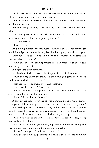I walk past her to where she pointed because it's the only thing to do. The permanent marker presses against my butt.

I knew I would be starstruck, but this is ridiculous. I can barely string my thoughts together.

Before leaving the tent, I turn and say, "I'm sorry I ruined the food table."

She casts a gorgeous half-smile that makes me sway. "I won't tell a soul it was you. Good luck with the job application."

*Did I just swoon?*

"Thanks," I say.

And my big moment meeting Cate Whitney is over. I open my mouth to ask for a signature, remember my last shred of dignity, and close it again.

Why can't I be cool? Why do I have to be covered in mustard and croissant flakes right now?

"Hold on," she says, striding toward me. She reaches out and plucks something from my hair.

A tingle runs down my neck.

A cobweb is pinched between her fingers. She lets it flutter away.

"Must be dirty under the table. We can't have you going for your job application with that in your hair."

From this close, she smells sweet and summery.

"No," I say, breathless. "Thank you, Cate."

"You're welcome…" She pauses, and it takes me a moment to realize she's waiting for me to fill in the gap.

"Rachel," I say. "Rachel Janssen."

A guy my age rushes over and shoves a granola bar into Cate's hands. "You got a call from your publicist about the gala. Also, you need protein."

He has the poise of a dancer and every inch of him is well put together, from his buzzed black hair to his purple suit to his platform shoes. His deep brown skin is flawlessly contoured with shimmery makeup.

"They'll be ready to block the scene in a few minutes," he adds, typing frantically on his phone.

Cate doesn't take her eyes off me, apparently immune to having this guy fuss over her while she's in the middle of something.

"Rachel," she says. "Hope I see you around."

The guy shoots me a suspicious look, like he didn't notice me until now.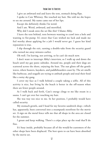I give an awkward nod and leave the tent, stomach doing flips.

I spoke to Cate Whitney. She touched my hair. She told me she hopes to see me around. My name came out of her lips.

Except she definitely thinks I'm weird.

And I am. Weird, awkward, and mortified.

Why did I sneak onto the set like this? I blame Abby.

I leave the tent behind, torn between wanting to crawl into a hole and wanting to fist-pump. It's sweet that Cate wished me luck and made me feel worthy about applying for a job I would never get. I guess her kind reputation is true.

I slip through the exit, earning a double-take from the security guard who turned me away minutes earlier.

Oh well. I'm leaving, not arriving, so he can't do much now.

I don't want to interrupt Abby's interview, so I walk up and down the beach until my gay panic subsides. Around me, people and their dogs are scattered across the shore, enjoying the heat. The sun glints off the gentle waves, where boaters, kayakers, and paddleboarders coast by. The air smells like barbecue, and seagulls are trying to ambush people and steal their food like a noisy sky gang.

I cover my face as I walk behind a couple taking a selfie. All of this activity is nice, but living by the beach is better in the off-season when there are fewer people around.

As I walk back and forth, Cate's energy clings to me like steam in a sauna. I can't get over her touching my hair.

She was way too nice to me. In her position, I probably would have called security.

My stomach growls, and I head for my favorite sandwich shop—which has, apparently, been converted into a steampunk storefront for the movie set. A sign on the metal fence tells me that all shops in the area are closed for the summer.

I groan and keep walking. There's a crêpe place up the road that'll do fine.

It's busy inside, probably because all of the would-be-customers of the other shops have been displaced. The best spots to eat have been absorbed by the movie set.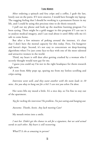After ordering a spinach and feta crêpe and a coffee, I grab the last, lonely seat on the patio. If I were smarter, I would have brought my laptop. The nagging feeling that I should be working is a permanent fixture in my life, and I could be using this precious time to do thesis research.

I pull out my phone and look up the machine learning program I've been eyeing. There might be a gold nugget in this program if I can use it to analyze medical imagery, and I can read about it until Abby tells me it's safe to come home.

But after a few minutes of poking around the internet, it's clear that I don't have the mental capacity for this today. First, I'm hungover and haven't slept. Second, it's not easy to concentrate on deep-learning algorithms when I've just come face-to-face with one of the most talented and attractive women in the world.

Third, my heart is still dust after getting crushed by a woman who I secretly thought would turn gay for me.

I guess you could say I'm not in the right headspace for thesis research right now.

A text from Abby pops up, sparing me from my listless scrolling and crêpe-eating.

*Interview went well, and they want another with the team leads in 10 mins. Are you okay to hang out for a bit? I can text you when I'm done.*

Her news lifts my mood a little. It's a nice day, so I'm fine to stay out of the apartment.

*Yay for rocking the interview! No problem. I'm just eating and hanging out.*

*Awesome. Thanks, bestie. Any luck meeting Cate?*

My mouth twists into a smile.

*I met her. Didn't get the chance to ask for a signature, but we said actual words to each other. My heart is still recovering.*

*What?!!! Is she as amazing in person?*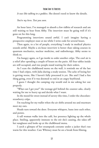*It was like talking to a goddess.* She doesn't need to know the details.

*You're my hero. Text you soon.*

An hour later, I've managed to absorb a few tidbits of research and am still waiting to hear from Abby. The interview must be going well if it's gone on for this long.

Programming interviews sound awful. I can't imagine having a prospective employer stare at me while I write code for several hours.

Then again, to a lot of people, everything I study in medical physics sounds awful. Maybe a six-hour interview is better than taking courses in quantum mechanics, nuclear medicine, and radiotherapy. Abby seems to think so.

I'm hungry again, so I go inside to order another crêpe. The cool air is a relief after spending a couple of hours on the patio. All four tables inside are still occupied, and two people stand waiting for their orders.

As I scan the chalkboard menu on the wall, it reminds me of the last time I had crêpes, with Julia during a study session. The ache of losing her is getting worse, like I haven't fully processed it yet. She and I had a fun thing going, even if it was doomed to end in an angry boyfriend.

I guess I thought the camping trip would end in me asking her out properly.

"What can I get you?" the teenage girl behind the counter asks, clearly waiting for me to hurry up and decide what I want.

In the mood for sweet instead of savory this time, I order the chocolatestrawberry crêpe.

I'm reaching for my wallet when the air shifts around me and murmurs meet my ears.

Heads turn toward the door. Everyone whispers, leans into each other, and points.

A tall woman walks into the café, her presence lighting up the whole place. Smiling, apparently immune to the stir she's causing, she takes off her sunglasses and looks up at the chalkboard menu.

I catch a glimpse of her steampunk costume under a jacket that's too warm for this weather. Cate Whitney must be on a break from filming.